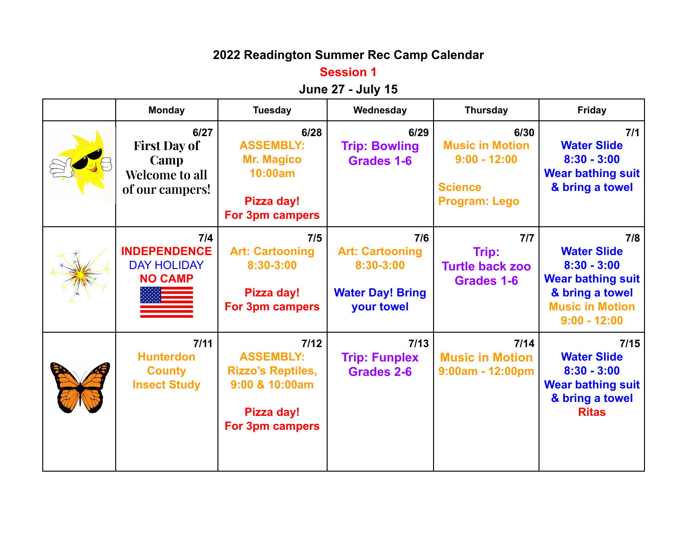# **2022 Readington Summer Rec Camp Calendar**

### **Session 1**

## **June 27 - July 15**

| <b>Monday</b>                                                                   | <b>Tuesday</b>                                                                                            | Wednesday                                                                           | <b>Thursday</b>                                                                            | <b>Friday</b>                                                                                                                         |
|---------------------------------------------------------------------------------|-----------------------------------------------------------------------------------------------------------|-------------------------------------------------------------------------------------|--------------------------------------------------------------------------------------------|---------------------------------------------------------------------------------------------------------------------------------------|
| 6/27<br><b>First Day of</b><br>Camp<br><b>Welcome to all</b><br>of our campers! | 6/28<br><b>ASSEMBLY:</b><br><b>Mr. Magico</b><br>10:00am<br>Pizza day!<br><b>For 3pm campers</b>          | 6/29<br><b>Trip: Bowling</b><br>Grades 1-6                                          | 6/30<br><b>Music in Motion</b><br>$9:00 - 12:00$<br><b>Science</b><br><b>Program: Lego</b> | 7/1<br><b>Water Slide</b><br>$8:30 - 3:00$<br><b>Wear bathing suit</b><br>& bring a towel                                             |
| 7/4<br><b>INDEPENDENCE</b><br><b>DAY HOLIDAY</b><br><b>NO CAMP</b>              | 7/5<br><b>Art: Cartooning</b><br>8:30-3:00<br>Pizza day!<br>For 3pm campers                               | 7/6<br><b>Art: Cartooning</b><br>8:30-3:00<br><b>Water Day! Bring</b><br>your towel | 7/7<br>Trip:<br><b>Turtle back zoo</b><br>Grades 1-6                                       | 7/8<br><b>Water Slide</b><br>$8:30 - 3:00$<br><b>Wear bathing suit</b><br>& bring a towel<br><b>Music in Motion</b><br>$9:00 - 12:00$ |
| $7/11$<br><b>Hunterdon</b><br><b>County</b><br><b>Insect Study</b>              | $7/12$<br><b>ASSEMBLY:</b><br><b>Rizzo's Reptiles,</b><br>9:00 & 10:00am<br>Pizza day!<br>For 3pm campers | $7/13$<br><b>Trip: Funplex</b><br>Grades 2-6                                        | 7/14<br><b>Music in Motion</b><br>$9:00am - 12:00pm$                                       | 7/15<br><b>Water Slide</b><br>$8:30 - 3:00$<br><b>Wear bathing suit</b><br>& bring a towel<br><b>Ritas</b>                            |